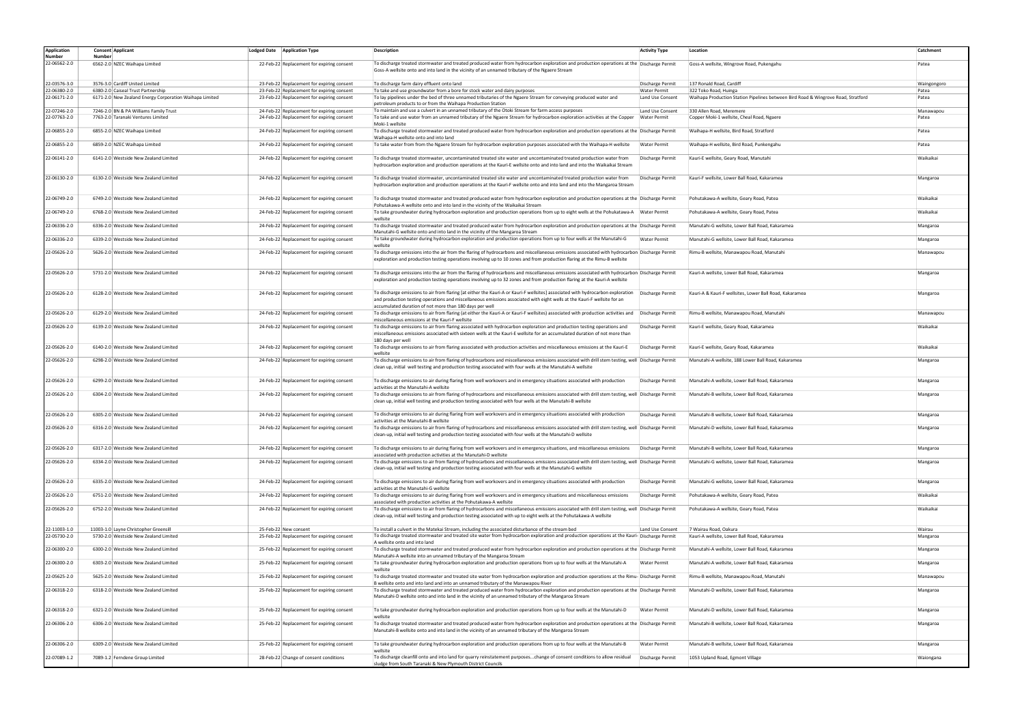| <b>Application</b> |        | <b>Consent Applicant</b>                                | Lodged Date Application Type               | Description                                                                                                                                                                                                                                                                                                                               | <b>Activity Type</b> | Location                                                                          | Catchment   |
|--------------------|--------|---------------------------------------------------------|--------------------------------------------|-------------------------------------------------------------------------------------------------------------------------------------------------------------------------------------------------------------------------------------------------------------------------------------------------------------------------------------------|----------------------|-----------------------------------------------------------------------------------|-------------|
| Number             | Number |                                                         |                                            |                                                                                                                                                                                                                                                                                                                                           |                      |                                                                                   |             |
| 22-06562-2.0       |        | 6562-2.0 NZEC Waihapa Limited                           | 22-Feb-22 Replacement for expiring consent | To discharge treated stormwater and treated produced water from hydrocarbon exploration and production operations at the Discharge Permit<br>Goss-A wellsite onto and into land in the vicinity of an unnamed tributary of the Ngaere Stream                                                                                              |                      | Goss-A wellsite, Wingrove Road, Pukengahu                                         | Patea       |
|                    |        |                                                         |                                            |                                                                                                                                                                                                                                                                                                                                           |                      |                                                                                   |             |
| 22-03576-3.0       |        | 3576-3.0 Cardiff United Limited                         | 23-Feb-22 Replacement for expiring consent | To discharge farm dairy effluent onto land                                                                                                                                                                                                                                                                                                | Discharge Permit     | 137 Ronald Road, Cardiff                                                          | Waingongoro |
| 22-06380-2.0       |        | 6380-2.0 Caiseal Trust Partnership                      | 23-Feb-22 Replacement for expiring consent | To take and use groundwater from a bore for stock water and dairy purposes                                                                                                                                                                                                                                                                | <b>Water Permit</b>  | 322 Toko Road, Huinga                                                             | Patea       |
| 22-06171-2.0       |        | 6171-2.0 New Zealand Energy Corporation Waihapa Limited | 23-Feb-22 Replacement for expiring consent | To lay pipelines under the bed of three unnamed tributaries of the Ngaere Stream for conveying produced water and                                                                                                                                                                                                                         | Land Use Consent     | Waihapa Production Station Pipelines between Bird Road & Wingrove Road, Stratford | Patea       |
|                    |        |                                                         |                                            | petroleum products to or from the Waihapa Production Station                                                                                                                                                                                                                                                                              |                      |                                                                                   |             |
| 22-07246-2.0       |        | 7246-2.0 BN & PA Williams Family Trust                  | 24-Feb-22 Replacement for expiring consent | To maintain and use a culvert in an unnamed tributary of the Otoki Stream for farm access purposes                                                                                                                                                                                                                                        | Land Use Consent     | 330 Allen Road, Meremere                                                          | Manawapou   |
| 22-07763-2.0       |        | 7763-2.0 Taranaki Ventures Limited                      | 24-Feb-22 Replacement for expiring consent | To take and use water from an unnamed tributary of the Ngaere Stream for hydrocarbon exploration activities at the Copper                                                                                                                                                                                                                 | <b>Water Permit</b>  | Copper Moki-1 wellsite, Cheal Road, Ngaere                                        | Patea       |
|                    |        | 6855-2.0 NZEC Waihapa Limited                           | 24-Feb-22 Replacement for expiring consent | Moki-1 wellsite<br>To discharge treated stormwater and treated produced water from hydrocarbon exploration and production operations at the Discharge Permit                                                                                                                                                                              |                      | Waihapa-H wellsite, Bird Road, Stratford                                          | Patea       |
| 22-06855-2.0       |        |                                                         |                                            | Waihapa-H wellsite onto and into land                                                                                                                                                                                                                                                                                                     |                      |                                                                                   |             |
| 22-06855-2.0       |        | 6859-2.0 NZEC Waihapa Limited                           | 24-Feb-22 Replacement for expiring consent | To take water from from the Ngaere Stream for hydrocarbon exploration purposes associated with the Waihapa-H wellsite                                                                                                                                                                                                                     | <b>Water Permit</b>  | Waihapa-H wellsite, Bird Road, Punkengahu                                         | Patea       |
| 2-06141-2.0        |        | 6141-2.0 Westside New Zealand Limited                   | 24-Feb-22 Replacement for expiring consent | To discharge treated stormwater, uncontaminated treated site water and uncontaminated treated production water from                                                                                                                                                                                                                       | Discharge Permit     | Kauri-E wellsite, Geary Road, Manutahi                                            | Waikaikai   |
|                    |        |                                                         |                                            | hydrocarbon exploration and production operations at the Kauri-E wellsite onto and into land and into the Waikaikai Stream                                                                                                                                                                                                                |                      |                                                                                   |             |
| 2-06130-2.0        |        | 6130-2.0 Westside New Zealand Limited                   | 24-Feb-22 Replacement for expiring consent | To discharge treated stormwater, uncontaminated treated site water and uncontaminated treated production water from<br>hydrocarbon exploration and production operations at the Kauri-F wellsite onto and into land and into the Mangaroa Stream                                                                                          | Discharge Permit     | Kauri-F wellsite, Lower Ball Road, Kakaramea                                      | Mangaroa    |
| 2-06749-2.0        |        | 6749-2.0 Westside New Zealand Limited                   | 24-Feb-22 Replacement for expiring consent | To discharge treated stormwater and treated produced water from hydrocarbon exploration and production operations at the Discharge Permit                                                                                                                                                                                                 |                      | Pohutakawa-A wellsite, Geary Road, Patea                                          | Waikaikai   |
|                    |        |                                                         |                                            | Pohutakawa-A wellsite onto and into land in the vicinity of the Waikaikai Stream                                                                                                                                                                                                                                                          |                      |                                                                                   |             |
| 2-06749-2.0        |        | 6768-2.0 Westside New Zealand Limited                   | 24-Feb-22 Replacement for expiring consent | To take groundwater during hydrocarbon exploration and production operations from up to eight wells at the Pohukatawa-A Water Permit                                                                                                                                                                                                      |                      | Pohutakawa-A wellsite, Geary Road, Patea                                          | Waikaikai   |
|                    |        |                                                         |                                            | wellsite                                                                                                                                                                                                                                                                                                                                  |                      |                                                                                   |             |
| 2-06336-2.0        |        | 6336-2.0 Westside New Zealand Limited                   | 24-Feb-22 Replacement for expiring consent | To discharge treated stormwater and treated produced water from hydrocarbon exploration and production operations at the Discharge Permit<br>Manutahi-G wellsite onto and into land in the vicinity of the Mangaroa Stream                                                                                                                |                      | Manutahi-G wellsite, Lower Ball Road, Kakaramea                                   | Mangaroa    |
| 2-06336-2.0        |        | 6339-2.0 Westside New Zealand Limited                   | 24-Feb-22 Replacement for expiring consent | To take groundwater during hydrocarbon exploration and production operations from up to four wells at the Manutahi-G<br>wellsite                                                                                                                                                                                                          | <b>Water Permit</b>  | Manutahi-G wellsite. Lower Ball Road. Kakaramea                                   | Mangaroa    |
| 22-05626-2.0       |        | 5626-2.0 Westside New Zealand Limited                   | 24-Feb-22 Replacement for expiring consent | To discharge emissions into the air from the flaring of hydrocarbons and miscellaneous emissions associated with hydrocarbon Discharge Permit                                                                                                                                                                                             |                      | Rimu-B wellsite, Manawapou Road, Manutahi                                         | Manawapou   |
|                    |        |                                                         |                                            | exploration and production testing operations involving up to 10 zones and from production flaring at the Rimu-B wellsite                                                                                                                                                                                                                 |                      |                                                                                   |             |
|                    |        |                                                         |                                            |                                                                                                                                                                                                                                                                                                                                           |                      |                                                                                   |             |
| 22-05626-2.0       |        | 5731-2.0 Westside New Zealand Limited                   | 24-Feb-22 Replacement for expiring consent | To discharge emissions into the air from the flaring of hydrocarbons and miscellaneous emissions associated with hydrocarbon Discharge Permit<br>exploration and production testing operations involving up to 32 zones and from production flaring at the Kauri-A wellsite                                                               |                      | Kauri-A wellsite, Lower Ball Road, Kakaramea                                      | Mangaroa    |
| 22-05626-2.0       |        |                                                         |                                            |                                                                                                                                                                                                                                                                                                                                           |                      |                                                                                   |             |
|                    |        | 6128-2.0 Westside New Zealand Limited                   | 24-Feb-22 Replacement for expiring consent | To discharge emissions to air from flaring [at either the Kauri-A or Kauri-F wellsites] associated with hydrocarbon exploration   Discharge Permit<br>and production testing operations and miscellaneous emissions associated with eight wells at the Kauri-F wellsite for an<br>accumulated duration of not more than 180 days per well |                      | Kauri-A & Kauri-F wellsites, Lower Ball Road, Kakaramea                           | Mangaroa    |
| 2-05626-2.0        |        | 6129-2.0 Westside New Zealand Limited                   | 24-Feb-22 Replacement for expiring consent | To discharge emissions to air from flaring (at either the Kauri-A or Kauri-F wellsites) associated with production activities and                                                                                                                                                                                                         | Discharge Permit     | Rimu-B wellsite, Manawapou Road, Manutahi                                         | Manawapou   |
|                    |        |                                                         |                                            | miscellaneous emissions at the Kauri-F wellsite                                                                                                                                                                                                                                                                                           |                      |                                                                                   |             |
| 22-05626-2.0       |        | 6139-2.0 Westside New Zealand Limited                   | 24-Feb-22 Replacement for expiring consent | To discharge emissions to air from flaring associated with hydrocarbon exploration and production testing operations and<br>miscellaneous emissions associated with sixteen wells at the Kauri-E wellsite for an accumulated duration of not more than                                                                                    | Discharge Permit     | Kauri-E wellsite, Geary Road, Kakaramea                                           | Waikaikai   |
| 2-05626-2.0        |        | 6140-2.0 Westside New Zealand Limited                   | 24-Feb-22 Replacement for expiring consent | 180 days per well<br>To discharge emissions to air from flaring associated with production activities and miscellaneous emissions at the Kauri-E                                                                                                                                                                                          | Discharge Permit     | Kauri-E wellsite, Geary Road, Kakaramea                                           | Waikaikai   |
|                    |        |                                                         |                                            | wellsite                                                                                                                                                                                                                                                                                                                                  |                      |                                                                                   |             |
| 22-05626-2.0       |        | 6298-2.0 Westside New Zealand Limited                   | 24-Feb-22 Replacement for expiring consent | To discharge emissions to air from flaring of hydrocarbons and miscellaneous emissions associated with drill stem testing, well   Discharge Permit<br>clean up, initial well testing and production testing associated with four wells at the Manutahi-A wellsite                                                                         |                      | Manutahi-A wellsite, 188 Lower Ball Road, Kakaramea                               | Mangaroa    |
|                    |        |                                                         |                                            |                                                                                                                                                                                                                                                                                                                                           |                      |                                                                                   |             |
| 22-05626-2.0       |        | 6299-2.0 Westside New Zealand Limited                   | 24-Feb-22 Replacement for expiring consent | To discharge emissions to air during flaring from well workovers and in emergency situations associated with production                                                                                                                                                                                                                   | Discharge Permit     | Manutahi-A wellsite, Lower Ball Road, Kakaramea                                   | Mangaroa    |
|                    |        |                                                         |                                            | activities at the Manutahi-A wellsite                                                                                                                                                                                                                                                                                                     |                      | Manutahi-B wellsite, Lower Ball Road, Kakaramea                                   |             |
| 22-05626-2.0       |        | 6304-2.0 Westside New Zealand Limited                   | 24-Feb-22 Replacement for expiring consent | To discharge emissions to air from flaring of hydrocarbons and miscellaneous emissions associated with drill stem testing, well   Discharge Permit<br>clean up, initial well testing and production testing associated with four wells at the Manutahi-B wellsite                                                                         |                      |                                                                                   | Mangaroa    |
| 22-05626-2.0       |        | 6305-2.0 Westside New Zealand Limited                   | 24-Feb-22 Replacement for expiring consent | To discharge emissions to air during flaring from well workovers and in emergency situations associated with production                                                                                                                                                                                                                   | Discharge Permit     | Manutahi-B wellsite, Lower Ball Road, Kakaramea                                   | Mangaroa    |
| 22-05626-2.0       |        | 6316-2.0 Westside New Zealand Limited                   |                                            | activities at the Manutahi-B wellsite<br>To discharge emissions to air from flaring of hydrocarbons and miscellaneous emissions associated with drill stem testing, well   Discharge Permit                                                                                                                                               |                      |                                                                                   |             |
|                    |        |                                                         | 24-Feb-22 Replacement for expiring consent | clean-up, initial well testing and production testing associated with four wells at the Manutahi-D wellsite                                                                                                                                                                                                                               |                      | Manutahi-D wellsite, Lower Ball Road, Kakaramea                                   | Mangaroa    |
| 22-05626-2.0       |        | 6317-2.0 Westside New Zealand Limited                   | 24-Feb-22 Replacement for expiring consent | To discharge emissions to air during flaring from well workovers and in emergency situations, and miscellaneous emissions                                                                                                                                                                                                                 | Discharge Permit     | Manutahi-B wellsite, Lower Ball Road, Kakaramea                                   | Mangaroa    |
|                    |        |                                                         |                                            | associated with production activities at the Manutahi-D wellsite                                                                                                                                                                                                                                                                          |                      |                                                                                   |             |
| 22-05626-2.0       |        | 6334-2.0 Westside New Zealand Limited                   | 24-Feb-22 Replacement for expiring consent | To discharge emissions to air from flaring of hydrocarbons and miscellaneous emissions associated with drill stem testing, well Discharge Permit<br>clean-up, initial well testing and production testing associated with four wells at the Manutahi-G wellsite                                                                           |                      | Manutahi-G wellsite, Lower Ball Road, Kakaramea                                   | Mangaroa    |
|                    |        |                                                         |                                            |                                                                                                                                                                                                                                                                                                                                           |                      |                                                                                   |             |
| 22-05626-2.0       |        | 6335-2.0 Westside New Zealand Limited                   | 24-Feb-22 Replacement for expiring consent | To discharge emissions to air during flaring from well workovers and in emergency situations associated with production                                                                                                                                                                                                                   | Discharge Permit     | Manutahi-G wellsite, Lower Ball Road, Kakaramea                                   | Mangaroa    |
|                    |        |                                                         |                                            | activities at the Manutahi-G wellsite                                                                                                                                                                                                                                                                                                     |                      |                                                                                   |             |
| 2-05626-2.0        |        | 6751-2.0 Westside New Zealand Limited                   | 24-Feb-22 Replacement for expiring consent | To discharge emissions to air during flaring from well workovers and in emergency situations and miscellaneous emissions<br>associated with production activities at the Pohutakawa-A wellsite                                                                                                                                            | Discharge Permit     | Pohutakawa-A wellsite, Geary Road, Patea                                          | Waikaikai   |
| 2-05626-2.0        |        | 6752-2.0 Westside New Zealand Limited                   | 24-Feb-22 Replacement for expiring consent | To discharge emissions to air from flaring of hydrocarbons and miscellaneous emissions associated with drill stem testing, well   Discharge Permit<br>clean-up, initial well testing and production testing associated with up to eight wells at the Pohutakawa-A wellsite                                                                |                      | Pohutakawa-A wellsite, Geary Road, Patea                                          | Waikaikai   |
|                    |        |                                                         |                                            |                                                                                                                                                                                                                                                                                                                                           |                      |                                                                                   |             |
| 22-11003-1.0       |        | 11003-1.0 Layne Christopher Greensill                   | 25-Feb-22 New consent                      | To install a culvert in the Matekai Stream, including the associated disturbance of the stream bed                                                                                                                                                                                                                                        | Land Use Consent     | 7 Wairau Road, Oakura                                                             | Wairau      |
| 22-05730-2.0       |        | 5730-2.0 Westside New Zealand Limited                   | 25-Feb-22 Replacement for expiring consent | To discharge treated stormwater and treated site water from hydrocarbon exploration and production operations at the Kauri- Discharge Permit                                                                                                                                                                                              |                      | Kauri-A wellsite, Lower Ball Road, Kakaramea                                      | Mangaroa    |
|                    |        |                                                         |                                            | A wellsite onto and into land                                                                                                                                                                                                                                                                                                             |                      |                                                                                   |             |
| 2-06300-2.0        |        | 6300-2.0 Westside New Zealand Limited                   | 25-Feb-22 Replacement for expiring consent | To discharge treated stormwater and treated produced water from hydrocarbon exploration and production operations at the Discharge Permit<br>Manutahi-A wellsite into an unnamed tributary of the Mangaroa Stream                                                                                                                         |                      | Manutahi-A wellsite, Lower Ball Road, Kakaramea                                   | Mangaroa    |
| 2-06300-2.0        |        | 6303-2.0 Westside New Zealand Limited                   | 25-Feb-22 Replacement for expiring consent | To take groundwater during hydrocarbon exploration and production operations from up to four wells at the Manutahi-A                                                                                                                                                                                                                      | <b>Water Permit</b>  | Manutahi-A wellsite, Lower Ball Road, Kakaramea                                   | Mangaroa    |
|                    |        |                                                         |                                            | wellsite                                                                                                                                                                                                                                                                                                                                  |                      |                                                                                   |             |
| 2-05625-2.0        |        | 5625-2.0 Westside New Zealand Limited                   | 25-Feb-22 Replacement for expiring consent | To discharge treated stormwater and treated site water from hydrocarbon exploration and production operations at the Rimu- Discharge Permit<br>B wellsite onto and into land and into an unnamed tributary of the Manawapou River                                                                                                         |                      | Rimu-B wellsite, Manawapou Road, Manutahi                                         | Manawapou   |
| 22-06318-2.0       |        | 6318-2.0 Westside New Zealand Limited                   | 25-Feb-22 Replacement for expiring consent | To discharge treated stormwater and treated produced water from hydrocarbon exploration and production operations at the Discharge Permit                                                                                                                                                                                                 |                      | Manutahi-D wellsite, Lower Ball Road, Kakaramea                                   | Mangaroa    |
|                    |        |                                                         |                                            | Manutahi-D wellsite onto and into land in the vicinity of an unnamed tributary of the Mangaroa Stream                                                                                                                                                                                                                                     |                      |                                                                                   |             |
| 2-06318-2.0        |        | 6321-2.0 Westside New Zealand Limited                   | 25-Feb-22 Replacement for expiring consent | To take groundwater during hydrocarbon exploration and production operations from up to four wells at the Manutahi-D<br>wellsite                                                                                                                                                                                                          | <b>Water Permit</b>  | Manutahi-D wellsite, Lower Ball Road, Kakaramea                                   | Mangaroa    |
| 22-06306-2.0       |        | 6306-2.0 Westside New Zealand Limited                   | 25-Feb-22 Replacement for expiring consent | To discharge treated stormwater and treated produced water from hydrocarbon exploration and production operations at the Discharge Permit                                                                                                                                                                                                 |                      | Manutahi-B wellsite, Lower Ball Road, Kakaramea                                   | Mangaroa    |
|                    |        |                                                         |                                            | Manutahi-B wellsite onto and into land in the vicinity of an unnamed tributary of the Mangaroa Stream                                                                                                                                                                                                                                     |                      |                                                                                   |             |
| 22-06306-2.0       |        | 6309-2.0 Westside New Zealand Limited                   | 25-Feb-22 Replacement for expiring consent | To take groundwater during hydrocarbon exploration and production operations from up to four wells at the Manutahi-B                                                                                                                                                                                                                      | <b>Water Permit</b>  | Manutahi-B wellsite, Lower Ball Road, Kakaramea                                   | Mangaroa    |
| 2-07089-1.2        |        | 7089-1.2 Ferndene Group Limited                         | 28-Feb-22 Change of consent conditions     | wellsite<br>To discharge cleanfill onto and into land for quarry reinstatement purposeschange of consent conditions to allow residual                                                                                                                                                                                                     | Discharge Permit     | 1053 Upland Road, Egmont Village                                                  | Waiongana   |
|                    |        |                                                         |                                            | sludge from South Taranaki & New Plymouth District Councils                                                                                                                                                                                                                                                                               |                      |                                                                                   |             |